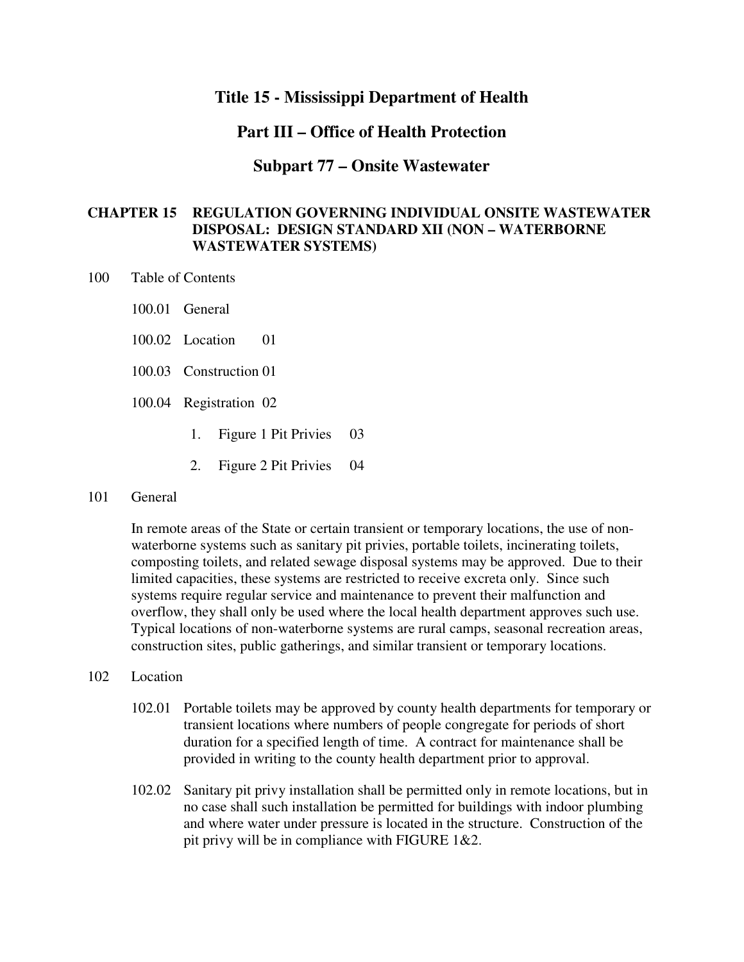## **Title 15 - Mississippi Department of Health**

## **Part III – Office of Health Protection**

### **Subpart 77 – Onsite Wastewater**

## **CHAPTER 15 REGULATION GOVERNING INDIVIDUAL ONSITE WASTEWATER DISPOSAL: DESIGN STANDARD XII (NON – WATERBORNE WASTEWATER SYSTEMS)**

- 100 Table of Contents
	- 100.01 General
	- 100.02 Location 01
	- 100.03 Construction 01
	- 100.04 Registration 02
		- 1. Figure 1 Pit Privies 03
		- 2. Figure 2 Pit Privies 04

#### 101 General

In remote areas of the State or certain transient or temporary locations, the use of nonwaterborne systems such as sanitary pit privies, portable toilets, incinerating toilets, composting toilets, and related sewage disposal systems may be approved. Due to their limited capacities, these systems are restricted to receive excreta only. Since such systems require regular service and maintenance to prevent their malfunction and overflow, they shall only be used where the local health department approves such use. Typical locations of non-waterborne systems are rural camps, seasonal recreation areas, construction sites, public gatherings, and similar transient or temporary locations.

### 102 Location

- 102.01 Portable toilets may be approved by county health departments for temporary or transient locations where numbers of people congregate for periods of short duration for a specified length of time. A contract for maintenance shall be provided in writing to the county health department prior to approval.
- 102.02 Sanitary pit privy installation shall be permitted only in remote locations, but in no case shall such installation be permitted for buildings with indoor plumbing and where water under pressure is located in the structure. Construction of the pit privy will be in compliance with FIGURE 1&2.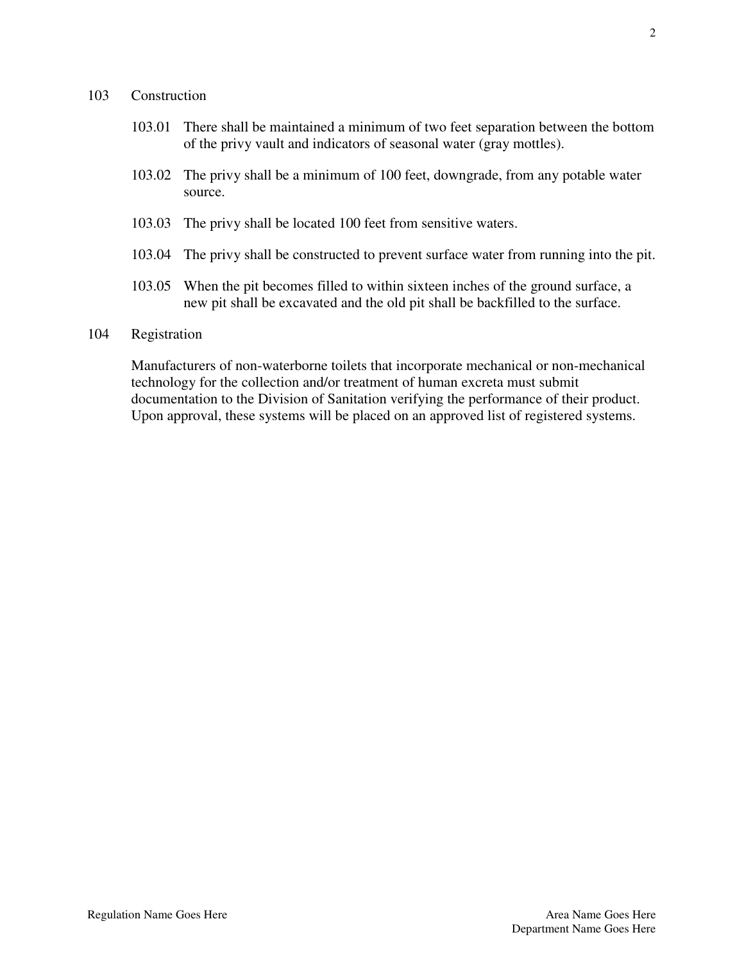### 103 Construction

- 103.01 There shall be maintained a minimum of two feet separation between the bottom of the privy vault and indicators of seasonal water (gray mottles).
- 103.02 The privy shall be a minimum of 100 feet, downgrade, from any potable water source.
- 103.03 The privy shall be located 100 feet from sensitive waters.
- 103.04 The privy shall be constructed to prevent surface water from running into the pit.
- 103.05 When the pit becomes filled to within sixteen inches of the ground surface, a new pit shall be excavated and the old pit shall be backfilled to the surface.

### 104 Registration

Manufacturers of non-waterborne toilets that incorporate mechanical or non-mechanical technology for the collection and/or treatment of human excreta must submit documentation to the Division of Sanitation verifying the performance of their product. Upon approval, these systems will be placed on an approved list of registered systems.